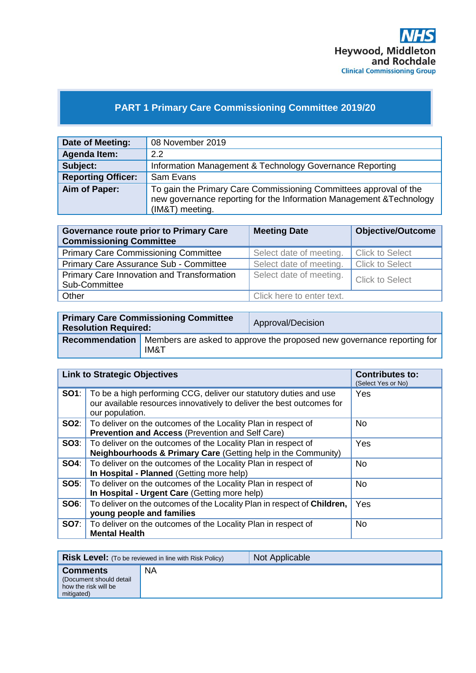

## **PART 1 Primary Care Commissioning Committee 2019/20**

| Date of Meeting:          | 08 November 2019                                                                                                                                             |
|---------------------------|--------------------------------------------------------------------------------------------------------------------------------------------------------------|
| <b>Agenda Item:</b>       | 22                                                                                                                                                           |
| Subject:                  | Information Management & Technology Governance Reporting                                                                                                     |
| <b>Reporting Officer:</b> | Sam Evans                                                                                                                                                    |
| Aim of Paper:             | To gain the Primary Care Commissioning Committees approval of the<br>new governance reporting for the Information Management & Technology<br>(IM&T) meeting. |

| <b>Governance route prior to Primary Care</b><br><b>Commissioning Committee</b> | <b>Meeting Date</b>       | <b>Objective/Outcome</b> |
|---------------------------------------------------------------------------------|---------------------------|--------------------------|
| <b>Primary Care Commissioning Committee</b>                                     | Select date of meeting.   | <b>Click to Select</b>   |
| Primary Care Assurance Sub - Committee                                          | Select date of meeting.   | <b>Click to Select</b>   |
| Primary Care Innovation and Transformation<br>Sub-Committee                     | Select date of meeting.   | Click to Select          |
| Other                                                                           | Click here to enter text. |                          |

| <b>Primary Care Commissioning Committee</b><br><b>Resolution Required:</b> |      | Approval/Decision                                                      |
|----------------------------------------------------------------------------|------|------------------------------------------------------------------------|
| <b>Recommendation</b>                                                      | IM&T | Members are asked to approve the proposed new governance reporting for |

| <b>Link to Strategic Objectives</b> |                                                                                                                                                               | <b>Contributes to:</b><br>(Select Yes or No) |
|-------------------------------------|---------------------------------------------------------------------------------------------------------------------------------------------------------------|----------------------------------------------|
| SO1:                                | To be a high performing CCG, deliver our statutory duties and use<br>our available resources innovatively to deliver the best outcomes for<br>our population. | Yes                                          |
|                                     | <b>SO2:</b>   To deliver on the outcomes of the Locality Plan in respect of<br>Prevention and Access (Prevention and Self Care)                               | No.                                          |
|                                     | <b>SO3:</b>   To deliver on the outcomes of the Locality Plan in respect of<br><b>Neighbourhoods &amp; Primary Care (Getting help in the Community)</b>       | Yes                                          |
|                                     | <b>SO4:</b> To deliver on the outcomes of the Locality Plan in respect of<br>In Hospital - Planned (Getting more help)                                        | <b>No</b>                                    |
| SOS:                                | To deliver on the outcomes of the Locality Plan in respect of<br>In Hospital - Urgent Care (Getting more help)                                                | <b>No</b>                                    |
| SOS:                                | To deliver on the outcomes of the Locality Plan in respect of Children,<br>young people and families                                                          | Yes                                          |
|                                     | <b>SO7:</b>   To deliver on the outcomes of the Locality Plan in respect of<br><b>Mental Health</b>                                                           | No.                                          |

| <b>Risk Level:</b> (To be reviewed in line with Risk Policy)                     |           | Not Applicable |
|----------------------------------------------------------------------------------|-----------|----------------|
| <b>Comments</b><br>(Document should detail<br>how the risk will be<br>mitigated) | <b>NA</b> |                |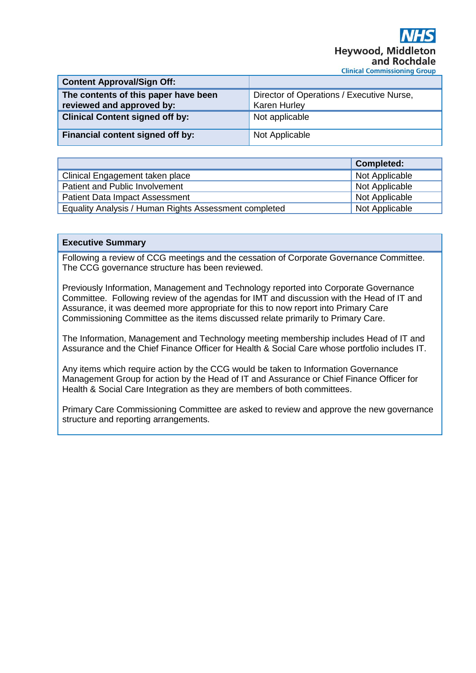| <b>Content Approval/Sign Off:</b>                                 |                                                                  |
|-------------------------------------------------------------------|------------------------------------------------------------------|
| The contents of this paper have been<br>reviewed and approved by: | Director of Operations / Executive Nurse,<br><b>Karen Hurley</b> |
| <b>Clinical Content signed off by:</b>                            | Not applicable                                                   |
| Financial content signed off by:                                  | Not Applicable                                                   |

|                                                       | <b>Completed:</b> |
|-------------------------------------------------------|-------------------|
| Clinical Engagement taken place                       | Not Applicable    |
| Patient and Public Involvement                        | Not Applicable    |
| <b>Patient Data Impact Assessment</b>                 | Not Applicable    |
| Equality Analysis / Human Rights Assessment completed | Not Applicable    |

## **Executive Summary**

Following a review of CCG meetings and the cessation of Corporate Governance Committee. The CCG governance structure has been reviewed.

Previously Information, Management and Technology reported into Corporate Governance Committee. Following review of the agendas for IMT and discussion with the Head of IT and Assurance, it was deemed more appropriate for this to now report into Primary Care Commissioning Committee as the items discussed relate primarily to Primary Care.

The Information, Management and Technology meeting membership includes Head of IT and Assurance and the Chief Finance Officer for Health & Social Care whose portfolio includes IT.

Any items which require action by the CCG would be taken to Information Governance Management Group for action by the Head of IT and Assurance or Chief Finance Officer for Health & Social Care Integration as they are members of both committees.

Primary Care Commissioning Committee are asked to review and approve the new governance structure and reporting arrangements.